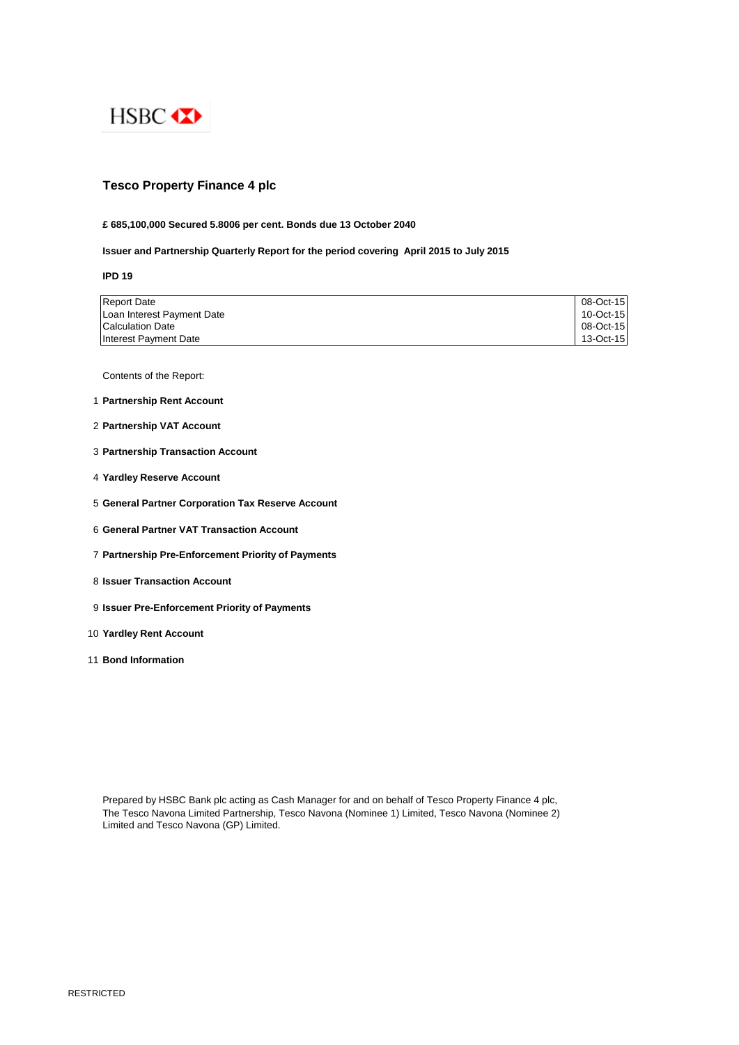

# **Tesco Property Finance 4 plc**

# **£ 685,100,000 Secured 5.8006 per cent. Bonds due 13 October 2040**

# **Issuer and Partnership Quarterly Report for the period covering April 2015 to July 2015**

**IPD 19**

| <b>Report Date</b>         | 08-Oct-15 |
|----------------------------|-----------|
| Loan Interest Payment Date | 10-Oct-15 |
| Calculation Date           | 08-Oct-15 |
| Interest Payment Date      | 13-Oct-15 |

Contents of the Report:

- 1 **Partnership Rent Account**
- 2 **Partnership VAT Account**
- 3 **Partnership Transaction Account**
- 4 **Yardley Reserve Account**
- 5 **General Partner Corporation Tax Reserve Account**
- 6 **General Partner VAT Transaction Account**
- 7 **Partnership Pre-Enforcement Priority of Payments**
- 8 **Issuer Transaction Account**
- 9 **Issuer Pre-Enforcement Priority of Payments**
- 10 **Yardley Rent Account**
- 11 **Bond Information**

Prepared by HSBC Bank plc acting as Cash Manager for and on behalf of Tesco Property Finance 4 plc, The Tesco Navona Limited Partnership, Tesco Navona (Nominee 1) Limited, Tesco Navona (Nominee 2) Limited and Tesco Navona (GP) Limited.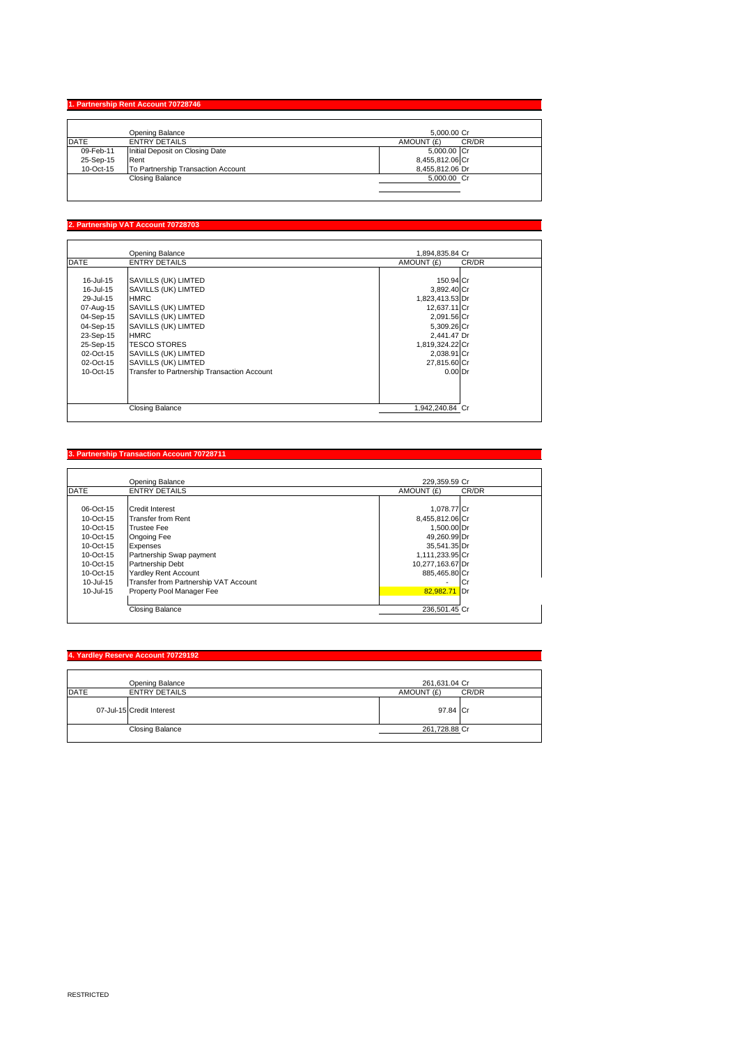#### **1. Partnership Rent Account 707**

|             | Opening Balance                    | 5.000.00 Cr         |
|-------------|------------------------------------|---------------------|
| <b>DATE</b> | <b>ENTRY DETAILS</b>               | CR/DR<br>AMOUNT (£) |
| 09-Feb-11   | Initial Deposit on Closing Date    | 5,000.00 Cr         |
| 25-Sep-15   | Rent                               | 8,455,812.06 Cr     |
| 10-Oct-15   | To Partnership Transaction Account | 8.455.812.06 Dr     |
|             | <b>Closing Balance</b>             | 5,000.00 Cr         |
|             |                                    |                     |

## **2. Partnership VAT Account 70728703**

 $\mathsf{l}$ 

|             | Opening Balance                             | 1.894.835.84 Cr |       |
|-------------|---------------------------------------------|-----------------|-------|
| <b>DATE</b> | <b>ENTRY DETAILS</b>                        | AMOUNT (£)      | CR/DR |
|             |                                             |                 |       |
| 16-Jul-15   | SAVILLS (UK) LIMTED                         | 150.94 Cr       |       |
| 16-Jul-15   | SAVILLS (UK) LIMTED                         | 3,892.40 Cr     |       |
| 29-Jul-15   | <b>HMRC</b>                                 | 1,823,413.53 Dr |       |
| 07-Aug-15   | SAVILLS (UK) LIMTED                         | 12,637.11 Cr    |       |
| 04-Sep-15   | SAVILLS (UK) LIMTED                         | 2,091.56 Cr     |       |
| 04-Sep-15   | SAVILLS (UK) LIMTED                         | 5,309.26 Cr     |       |
| 23-Sep-15   | <b>HMRC</b>                                 | 2,441.47 Dr     |       |
| 25-Sep-15   | <b>TESCO STORES</b>                         | 1,819,324.22 Cr |       |
| 02-Oct-15   | SAVILLS (UK) LIMTED                         | 2,038.91 Cr     |       |
| 02-Oct-15   | SAVILLS (UK) LIMTED                         | 27,815.60 Cr    |       |
| 10-Oct-15   | Transfer to Partnership Transaction Account | $0.00$ Dr       |       |
|             |                                             |                 |       |
|             | <b>Closing Balance</b>                      | 1.942.240.84 Cr |       |

# **3. Partnership Transaction Account 70728711**

|               | Opening Balance                       | 229.359.59 Cr    |       |
|---------------|---------------------------------------|------------------|-------|
| <b>DATE</b>   | <b>ENTRY DETAILS</b>                  | AMOUNT (£)       | CR/DR |
|               |                                       |                  |       |
| 06-Oct-15     | <b>Credit Interest</b>                | 1,078.77 Cr      |       |
| 10-Oct-15     | <b>Transfer from Rent</b>             | 8,455,812.06 Cr  |       |
| $10-Ort-15$   | <b>Trustee Fee</b>                    | 1,500.00 Dr      |       |
| $10-Ort-15$   | Ongoing Fee                           | 49,260.99 Dr     |       |
| 10-Oct-15     | Expenses                              | 35,541.35 Dr     |       |
| 10-Oct-15     | Partnership Swap payment              | 1,111,233.95 Cr  |       |
| 10-Oct-15     | Partnership Debt                      | 10,277,163.67 Dr |       |
| 10-Oct-15     | <b>Yardley Rent Account</b>           | 885.465.80 Cr    |       |
| 10-Jul-15     | Transfer from Partnership VAT Account |                  | ICı   |
| $10 -$ Jul-15 | Property Pool Manager Fee             | 82.982.71 Dr     |       |
|               |                                       |                  |       |
|               | <b>Closing Balance</b>                | 236,501.45 Cr    |       |

## **4. Yardley Reserve Account 70729192**

| DATE | Opening Balance<br><b>ENTRY DETAILS</b> | 261,631.04 Cr<br>AMOUNT (£) | CR/DR |
|------|-----------------------------------------|-----------------------------|-------|
|      | 07-Jul-15 Credit Interest               | 97.84 Cr                    |       |
|      | <b>Closing Balance</b>                  | 261,728.88 Cr               |       |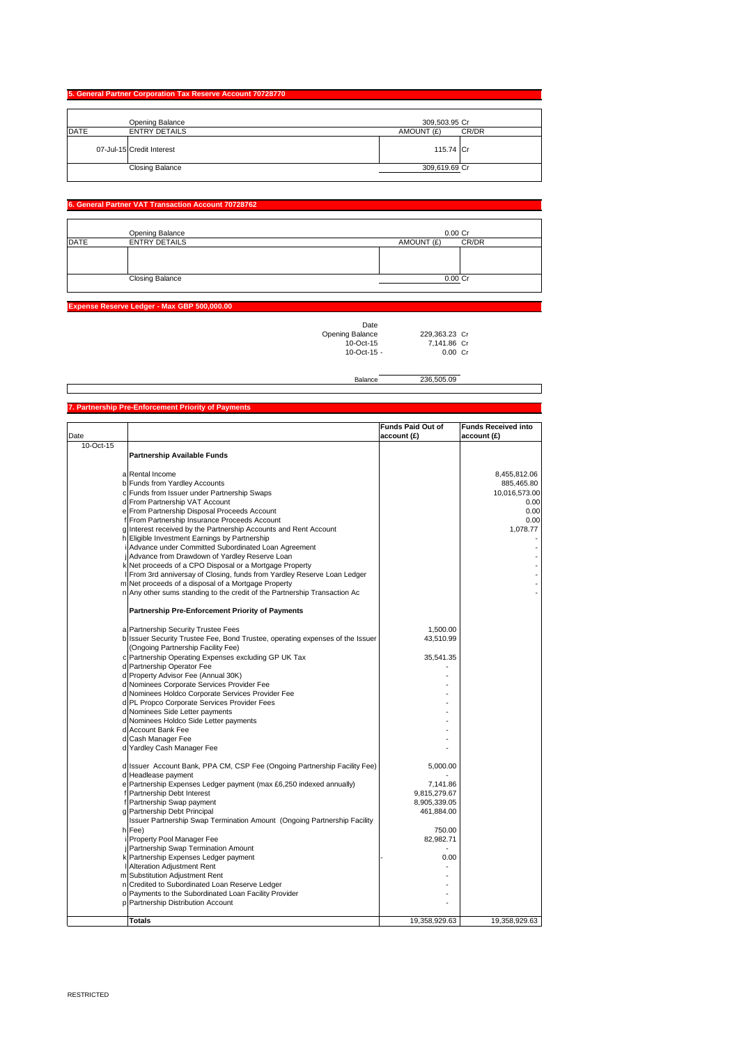## **5. General Partner Corporation Tax Reserve Account 70728770**

|             | Opening Balance           | 309,503.95 Cr |       |
|-------------|---------------------------|---------------|-------|
| <b>DATE</b> | <b>ENTRY DETAILS</b>      | AMOUNT (£)    | CR/DR |
|             | 07-Jul-15 Credit Interest | 115.74 Cr     |       |
|             | <b>Closing Balance</b>    | 309,619.69 Cr |       |

### **6. Fartner VAT Transaction Account 7072876**

|             | Opening Balance        | $0.00C$ r           |
|-------------|------------------------|---------------------|
| <b>DATE</b> | <b>ENTRY DETAILS</b>   | CR/DR<br>AMOUNT (£) |
|             |                        |                     |
|             |                        |                     |
|             |                        |                     |
|             | <b>Closing Balance</b> | $0.00C$ r           |
|             |                        |                     |

#### **Expense Reserve Ledger - Max GBP 500,000.00**

| Date              |               |  |
|-------------------|---------------|--|
| Opening Balance   | 229.363.23 C  |  |
| $10-Ort-15$       | 7.141.86 Cr   |  |
| $10 - Oct - 15 -$ | $0.00 \, C_1$ |  |
|                   |               |  |

Balance 236,505.09

#### Date **Funds Paid Out of account (£) Funds Received into account (£)** 10-Oct-15 **Partnership Available Funds** a Rental Income 8,455,812.06<br>
b Funds from Yardley Accounts 885,465.80<br>
c Funds from Issuer under Partnership Swaps 885,465.80<br>
c Funds from Issuer under Partnership Swaps 885,465.80 b Funds from Yardley Accounts c Funds from Issuer under Partnership Swaps 10,016,573.00 Experimental From Partnership VAT Account 0.000 out of the state of the state of the state of the state of the state of the state of the state of the state of the state of the state of the state of the state of the state o e From Partnership Disposal Proceeds Account (1999) 1999 (1999) 1999 (1999) 1999 (1999) 1999 (1999) 1999 (1999<br>Trom Partnership Insurance Proceeds Account (1999) 1999 (1999) 1999 (1999) 1999 (1999) 1999 (1999) 1999 (1999 From Partnership Insurance Proceeds Account 0.000 0.000 0.000 0.000 0.000 0.000 0.000 0.000 0.000 0.000 0.000 0.000 0.000 0.000 0.000 0.000 0.000 0.000 0.000 0.000 0.000 0.000 0.000 0.000 0.000 0.000 0.000 0.000 0.000 0.00 nterest received by the Partnership Accounts and Rent Account **Eligible Investment Earnings by Partnership** Advance under Committed Subordinated Loan Agreement j Advance from Drawdown of Yardley Reserve Loan - k Net proceeds of a CPO Disposal or a Mortgage Property - From 3rd anniversay of Closing, funds from Yardley Reserve Loan Ledger m Net proceeds of a disposal of a Mortgage Property - n Any other sums standing to the credit of the Partnership Transaction Ac - **Partnership Pre-Enforcement Priority of Payments** a Partnership Security Trustee Fees<br>b Issuer Security Trustee Fee, Bond Trustee, operating expenses of the Issuer Partnership Operating Expenses excluding GP UK Tax 35,541.35 Partnership Operator Fee d Property Advisor Fee (Annual 30K) d Nominees Corporate Services Provider Fee - Nominees Holdco Corporate Services Provider Fee d PL Propco Corporate Services Provider Fees d Nominees Side Letter payments - d Nominees Holdco Side Letter payments - Account Bank Fee Cash Manager Fee Yardley Cash Manager Fee ssuer Account Bank, PPA CM, CSP Fee (Ongoing Partnership Facility Fee) | S,000.00 d Headlease payment - e Partnership Expenses Ledger payment (max £6,250 indexed annually) 7,141.86 Fartnership Debt Interest<br>
Partnership Debt Interest<br>
Partnership Swan payment<br>
Partnership Swan payment<br>
8,905,339.05 Fartnership Swap payment 8,905,339.05<br>
Partnership Debt Principal and State 1,884.00 Partnership Debt Principal h Issuer Partnership Swap Termination Amount (Ongoing Partnership Facility Fee) 750.00 in the computer of the computation of the computer of the computation of the computation of the computation of the computation of the computation of the computation of the computation of the computation of the computation Partnership Swap Termination Amount 1999 and the control of the control of the control of the control of the control of the control of the control of the control of the control of the control of the control of the control Partnership Expenses Ledger payment Alteration Adjustment Rent m Substitution Adjustment Rent - Credited to Subordinated Loan Reserve Ledger o Payments to the Subordinated Loan Facility Provider - Partnership Distribution Account (Ongoing Partnership Facility Fee)

**Totals** 19,358,929.63 19,358,929.63 19,358,929.63 19,358,929.63 19,358,929.63 19,358,929.63 19,358,929.63

#### **7. Partnership Pre-Enforcement Priority of Payments**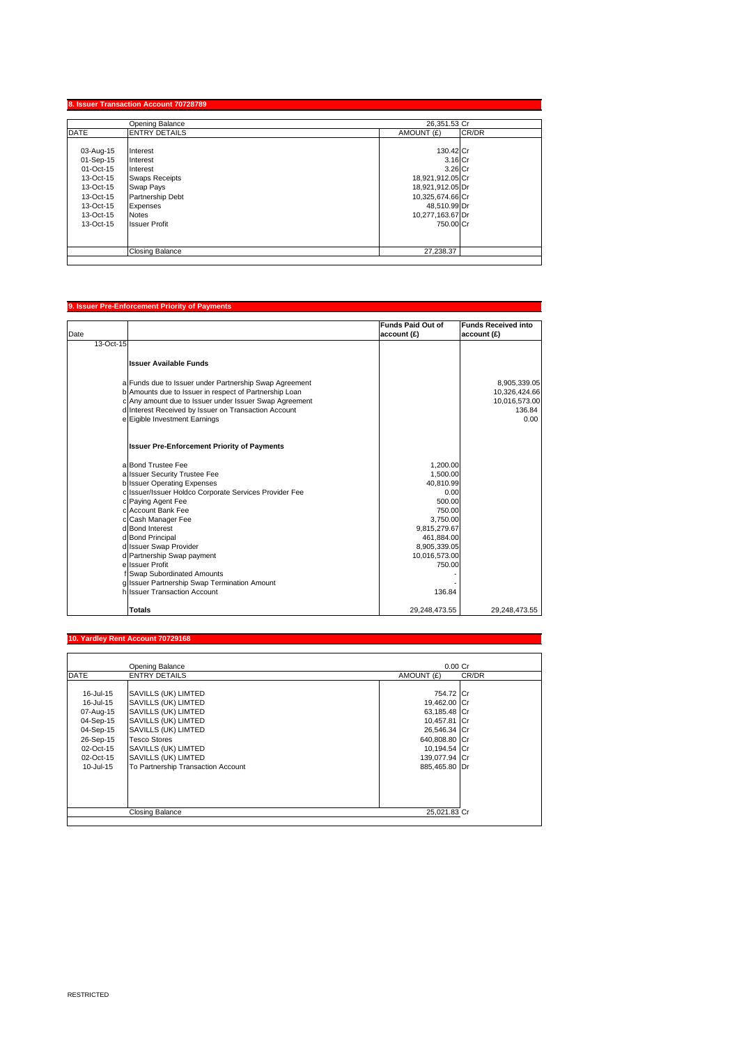|             | Opening Balance        | 26.351.53 Cr        |  |
|-------------|------------------------|---------------------|--|
| <b>DATE</b> | <b>ENTRY DETAILS</b>   | CR/DR<br>AMOUNT (£) |  |
| 03-Aug-15   | Interest               | 130.42 Cr           |  |
| 01-Sep-15   | Interest               | 3.16 Cr             |  |
| 01-Oct-15   | Interest               | 3.26 Cr             |  |
| 13-Oct-15   | <b>Swaps Receipts</b>  | 18,921,912.05 Cr    |  |
| 13-Oct-15   | Swap Pays              | 18,921,912.05 Dr    |  |
| 13-Oct-15   | Partnership Debt       | 10,325,674.66 Cr    |  |
| 13-Oct-15   | Expenses               | 48,510.99 Dr        |  |
| 13-Oct-15   | <b>Notes</b>           | 10,277,163.67 Dr    |  |
| 13-Oct-15   | <b>Issuer Profit</b>   | 750.00 Cr           |  |
|             |                        |                     |  |
|             | <b>Closing Balance</b> | 27.238.37           |  |

# Date **Funds Paid Out of account (£) Funds Received into account (£)** 13-Oct-15 **Issuer Available Funds** a Funds due to Issuer under Partnership Swap Agreement 8,905,339.05<br>
b Amounts due to Issuer in respect of Partnership Loan 8 (10,326,424.66)<br>
c Any amount due to Issuer under Issuer Swap Agreement 1993 (10,996,733.00)<br>
d **Issuer Pre-Enforcement Priority of Payments** a Bond Trustee Fee 1,200.00<br>a Issuer Security Trustee Fee 1,500.000<br>1,500.000 1,500.00 a Issuer Security Trustee Fee 1,500.00<br>
a Issuer Security Trustee Fee 1,500.00<br>
c Issuer Operating Expenses 40,810.99<br>
c Paying Agent Fee 1,000<br>
c Account Bank Fee 500.00<br>
c Account Bank Fee 750.00 b Issuer Operating Expenses 40,810.99 c Issuer/Issuer Holdco Corporate Services Provider Fee 0.00 c Paying Agent Fee 500.00<br>c Account Bank Fee 500.00 C Account Bank Fee 750.00 Cash Manager Fee 3,750.00<br>
Bond Interest 9,815,279.67<br>
Bond Principal 461,884.00 d Bond Interest 9,815,279.67 d Bond Principal 461,884.00 d Issuer Chapter and the University of the University of the University of the University of the University of<br>
Issuer Swap Provider and the University of the University of the University of the University of the Universit d Partnership Swap payment 10,016,573.00<br>| Saudi Partnership Swap payment 10,016,573.00<br>| ISsuer Profit 150.00 e Summersing f Swap Subordinated Amounts - g Issuer Partnership Swap Termination Amount -

#### **Yardley Rent Account**

**9. Issuer Pre-Enforcement Priority of Payments**

|             | Opening Balance                    | $0.00$ Cr     |       |
|-------------|------------------------------------|---------------|-------|
| <b>DATE</b> | <b>ENTRY DETAILS</b>               | AMOUNT (£)    | CR/DR |
|             |                                    |               |       |
| 16-Jul-15   | SAVILLS (UK) LIMTED                | 754.72 Cr     |       |
| 16-Jul-15   | SAVILLS (UK) LIMTED                | 19,462.00 Cr  |       |
| 07-Aug-15   | SAVILLS (UK) LIMTED                | 63,185.48 Cr  |       |
| 04-Sep-15   | SAVILLS (UK) LIMTED                | 10,457.81 Cr  |       |
| 04-Sep-15   | SAVILLS (UK) LIMTED                | 26,546.34 Cr  |       |
| 26-Sep-15   | <b>Tesco Stores</b>                | 640,808.80 Cr |       |
| 02-Oct-15   | SAVILLS (UK) LIMTED                | 10,194.54 Cr  |       |
| 02-Oct-15   | SAVILLS (UK) LIMTED                | 139,077.94 Cr |       |
| 10-Jul-15   | To Partnership Transaction Account | 885.465.80 Dr |       |
|             |                                    |               |       |
|             |                                    |               |       |
|             |                                    |               |       |
|             | <b>Closing Balance</b>             | 25,021.83 Cr  |       |

h Issuer Transaction Account 136.84

**Totals** 29,248,473.55 29,248,473.55